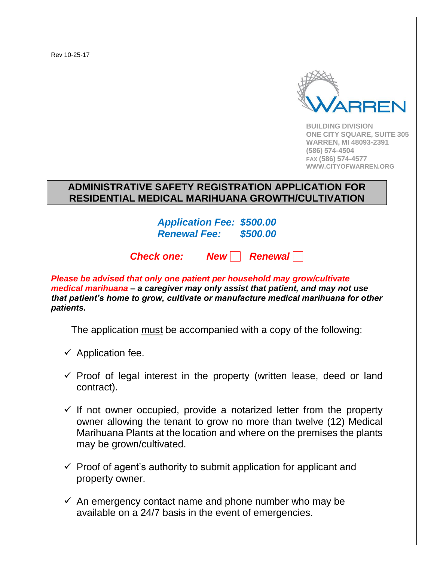Rev 10-25-17



**BUILDING DIVISION ONE CITY SQUARE, SUITE 305 WARREN, MI 48093-2391 (586) 574-4504 FAX (586) 574-4577 WWW.CITYOFWARREN.ORG**

#### **ADMINISTRATIVE SAFETY REGISTRATION APPLICATION FOR RESIDENTIAL MEDICAL MARIHUANA GROWTH/CULTIVATION**

*Application Fee: \$500.00 Renewal Fee: \$500.00*

*Check one: New Renewal*

*Please be advised that only one patient per household may grow/cultivate medical marihuana – a caregiver may only assist that patient, and may not use that patient's home to grow, cultivate or manufacture medical marihuana for other patients.*

The application must be accompanied with a copy of the following:

- $\checkmark$  Application fee.
- $\checkmark$  Proof of legal interest in the property (written lease, deed or land contract).
- $\checkmark$  If not owner occupied, provide a notarized letter from the property owner allowing the tenant to grow no more than twelve (12) Medical Marihuana Plants at the location and where on the premises the plants may be grown/cultivated.
- $\checkmark$  Proof of agent's authority to submit application for applicant and property owner.
- $\checkmark$  An emergency contact name and phone number who may be available on a 24/7 basis in the event of emergencies.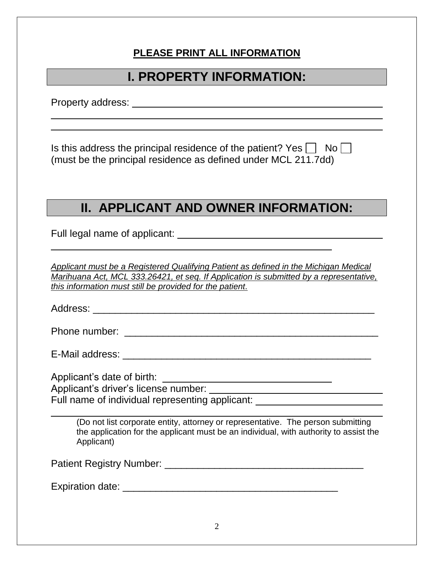#### **PLEASE PRINT ALL INFORMATION**

### **I. PROPERTY INFORMATION:**

Property address: **Example 2018** 

Is this address the principal residence of the patient? Yes  $\vert \vert$  No $\vert \vert$ (must be the principal residence as defined under MCL 211.7dd)

### **II. APPLICANT AND OWNER INFORMATION:**

Full legal name of applicant:

*Applicant must be a Registered Qualifying Patient as defined in the Michigan Medical Marihuana Act, MCL 333.26421, et seq. If Application is submitted by a representative, this information must still be provided for the patient.* 

Address: \_\_\_\_\_\_\_\_\_\_\_\_\_\_\_\_\_\_\_\_\_\_\_\_\_\_\_\_\_\_\_\_\_\_\_\_\_\_\_\_\_\_\_\_\_\_\_\_\_\_\_

Phone number: \_\_\_\_\_\_\_\_\_\_\_\_\_\_\_\_\_\_\_\_\_\_\_\_\_\_\_\_\_\_\_\_\_\_\_\_\_\_\_\_\_\_\_\_\_\_

E-Mail address: \_\_\_\_\_\_\_\_\_\_\_\_\_\_\_\_\_\_\_\_\_\_\_\_\_\_\_\_\_\_\_\_\_\_\_\_\_\_\_\_\_\_\_\_\_

Applicant's date of birth:

Applicant's driver's license number:

Full name of individual representing applicant:

(Do not list corporate entity, attorney or representative. The person submitting the application for the applicant must be an individual, with authority to assist the Applicant)

Patient Registry Number: \_\_\_\_\_\_\_\_\_\_\_\_\_\_\_\_\_\_\_\_\_\_\_\_\_\_\_\_\_\_\_\_\_\_\_\_

Expiration date: \_\_\_\_\_\_\_\_\_\_\_\_\_\_\_\_\_\_\_\_\_\_\_\_\_\_\_\_\_\_\_\_\_\_\_\_\_\_\_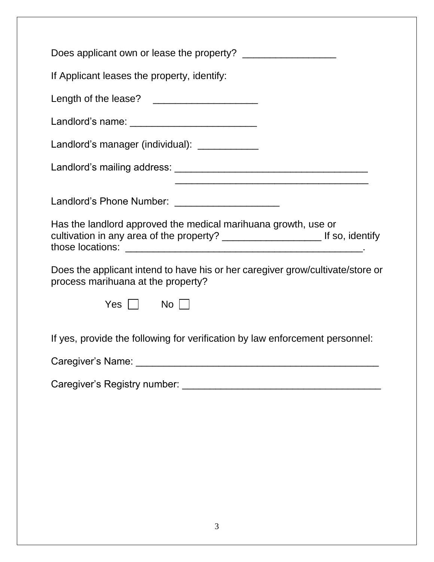| If Applicant leases the property, identify:                                                                          |
|----------------------------------------------------------------------------------------------------------------------|
|                                                                                                                      |
| Landlord's name: ______________________________                                                                      |
| Landlord's manager (individual): ____________                                                                        |
|                                                                                                                      |
|                                                                                                                      |
| Landlord's Phone Number: ______________________                                                                      |
| Has the landlord approved the medical marihuana growth, use or                                                       |
| Does the applicant intend to have his or her caregiver grow/cultivate/store or<br>process marihuana at the property? |
| Yes     No                                                                                                           |
| If yes, provide the following for verification by law enforcement personnel:                                         |
|                                                                                                                      |
|                                                                                                                      |
|                                                                                                                      |
|                                                                                                                      |
|                                                                                                                      |
|                                                                                                                      |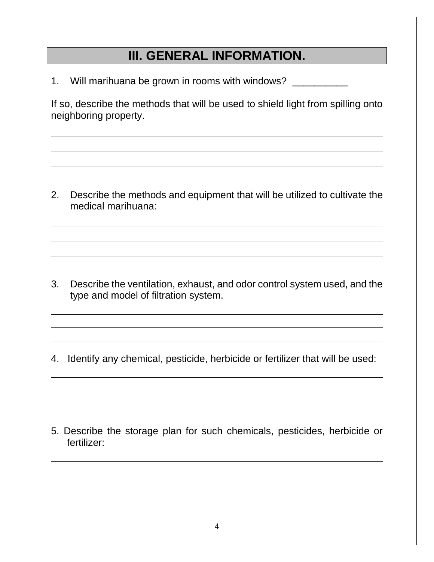## **III. GENERAL INFORMATION.**

1. Will marihuana be grown in rooms with windows?

If so, describe the methods that will be used to shield light from spilling onto neighboring property.

2. Describe the methods and equipment that will be utilized to cultivate the medical marihuana:

3. Describe the ventilation, exhaust, and odor control system used, and the type and model of filtration system.

4. Identify any chemical, pesticide, herbicide or fertilizer that will be used:

5. Describe the storage plan for such chemicals, pesticides, herbicide or fertilizer: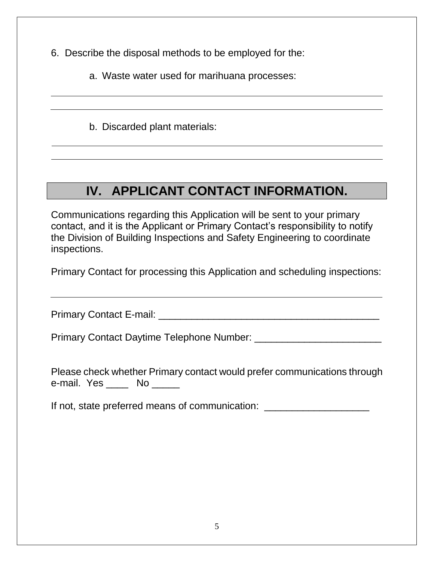6. Describe the disposal methods to be employed for the:

a. Waste water used for marihuana processes:

b. Discarded plant materials:

# **IV. APPLICANT CONTACT INFORMATION.**

Communications regarding this Application will be sent to your primary contact, and it is the Applicant or Primary Contact's responsibility to notify the Division of Building Inspections and Safety Engineering to coordinate inspections.

Primary Contact for processing this Application and scheduling inspections:

Primary Contact E-mail: \_\_\_\_\_\_\_\_\_\_\_\_\_\_\_\_\_\_\_\_\_\_\_\_\_\_\_\_\_\_\_\_\_\_\_\_\_\_\_\_

Primary Contact Daytime Telephone Number: \_\_\_\_\_\_\_\_\_\_\_\_\_\_\_\_\_\_\_\_\_\_\_

Please check whether Primary contact would prefer communications through e-mail. Yes \_\_\_\_\_ No

If not, state preferred means of communication: